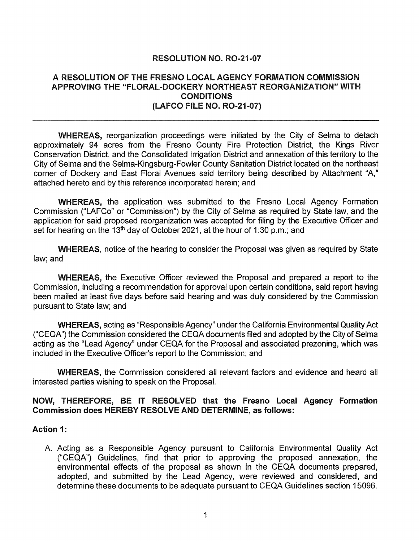# RESOLUTION NO. R0-21-07

#### A RESOLUTION OF THE FRESNO LOCAL AGENCY FORMATION COMMISSION APPROVING THE "FLORAL-DOCKERY NORTHEAST REORGANIZATION" WITH **CONDITIONS** (LAFCO FILE NO. R0-21-07)

WHEREAS, reorganization proceedings were initiated by the City of Selma to detach approximately 94 acres from the Fresno County Fire Protection District, the Kings River Conservation District, and the Consolidated Irrigation District and annexation of this territory to the City of Selma and the Selma-Kingsburg-Fowler County Sanitation District located on the northeast corner of Dockery and East Floral Avenues said territory being described by Attachment "A," attached hereto and by this reference incorporated herein; and

WHEREAS, the application was submitted to the Fresno Local Agency Formation Commission ("LAFCo" or "Commission") by the City of Selma as required by State law, and the application for said proposed reorganization was accepted for filing by the Executive Officer and set for hearing on the 13<sup>th</sup> day of October 2021, at the hour of 1:30 p.m.; and

WHEREAS, notice of the hearing to consider the Proposal was given as required by State law; and

WHEREAS, the Executive Officer reviewed the Proposal and prepared a report to the Commission, including a recommendation for approval upon certain conditions, said report having been mailed at least five days before said hearing and was duly considered by the Commission pursuant to State law; and

WHEREAS, acting as "Responsible Agency" under the California Environmental Quality Act ("CEQA") the Commission considered the CEQA documents filed and adopted by the City of Selma acting as the "Lead Agency" under CEQA for the Proposal and associated prezoning, which was included in the Executive Officer's report to the Commission; and

WHEREAS, the Commission considered all relevant factors and evidence and heard all interested parties wishing to speak on the Proposal.

## NOW, THEREFORE, BE IT RESOLVED that the Fresno local Agency Formation Commission does HEREBY RESOLVE AND DETERMINE, as follows:

#### Action 1:

A. Acting as a Responsible Agency pursuant to California Environmental Quality Act ("CEQA") Guidelines, find that prior to approving the proposed annexation, the environmental effects of the proposal as shown in the CEQA documents prepared, adopted, and submitted by the Lead Agency, were reviewed and considered, and determine these documents to be adequate pursuant to CEQA Guidelines section 15096.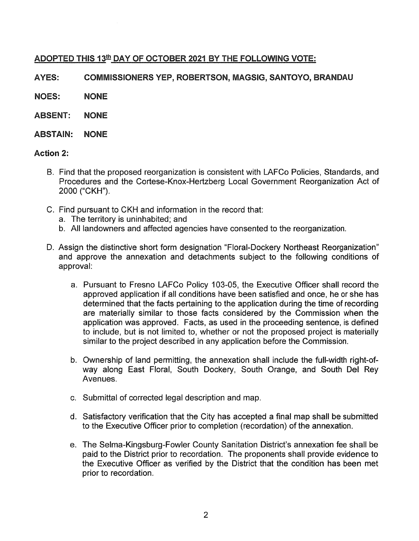# ADOPTED THIS 13<sup>th</sup> DAY OF OCTOBER 2021 BY THE FOLLOWING VOTE:

AYES: COMMISSIONERS YEP, ROBERTSON, MAGSIG, SANTOYO, BRANDAU

NOES: NONE

- ABSENT: NONE
- ABSTAIN: NONE

# Action 2:

- B. Find that the proposed reorganization is consistent with LAFCo Policies, Standards, and Procedures and the Cortese-Knox-Hertzberg Local Government Reorganization Act of 2000 ("CKH").
- C. Find pursuant to CKH and information in the record that:
	- a. The territory is uninhabited; and
	- b. All landowners and affected agencies have consented to the reorganization.
- D. Assign the distinctive short form designation "Floral-Dockery Northeast Reorganization" and approve the annexation and detachments subject to the following conditions of approval:
	- a. Pursuant to Fresno LAFCo Policy 103-05, the Executive Officer shall record the approved application if all conditions have been satisfied and once, he or she has determined that the facts pertaining to the application during the time of recording are materially similar to those facts considered by the Commission when the application was approved. Facts, as used in the proceeding sentence, is defined to include, but is not limited to, whether or not the proposed project is materially similar to the project described in any application before the Commission.
	- b. Ownership of land permitting, the annexation shall include the full-width right-ofway along East Floral, South Dockery, South Orange, and South Del Rey Avenues.
	- c. Submittal of corrected legal description and map.
	- d. Satisfactory verification that the City has accepted a final map shall be submitted to the Executive Officer prior to completion (recordation) of the annexation.
	- e. The Selma-Kingsburg-Fowler County Sanitation District's annexation fee shall be paid to the District prior to recordation. The proponents shall provide evidence to the Executive Officer as verified by the District that the condition has been met prior to recordation.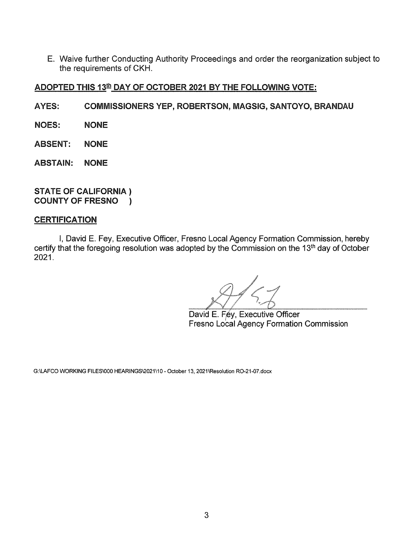E. Waive further Conducting Authority Proceedings and order the reorganization subject to the requirements of CKH.

# ADOPTED THIS 13th DAY OF OCTOBER 2021 BY THE FOLLOWING VOTE:

- A YES: COMMISSIONERS YEP, ROBERTSON, MAGSIG, SANTOYO, BRANDAU
- NOES: NONE
- ABSENT: NONE
- ABSTAIN: NONE

#### STATE OF CALIFORNIA ) COUNTY OF FRESNO )

#### **CERTIFICATION**

I, David E. Fey, Executive Officer, Fresno Local Agency Formation Commission, hereby certify that the foregoing resolution was adopted by the Commission on the 13<sup>th</sup> day of October 2021.

David E. Fey, Executive Officer Fresno Local Agency Formation Commission

G:\LAFCO WORKING FILES\000 HEARINGS\2021\10- October 13, 2021\Resolution R0-21-07.docx